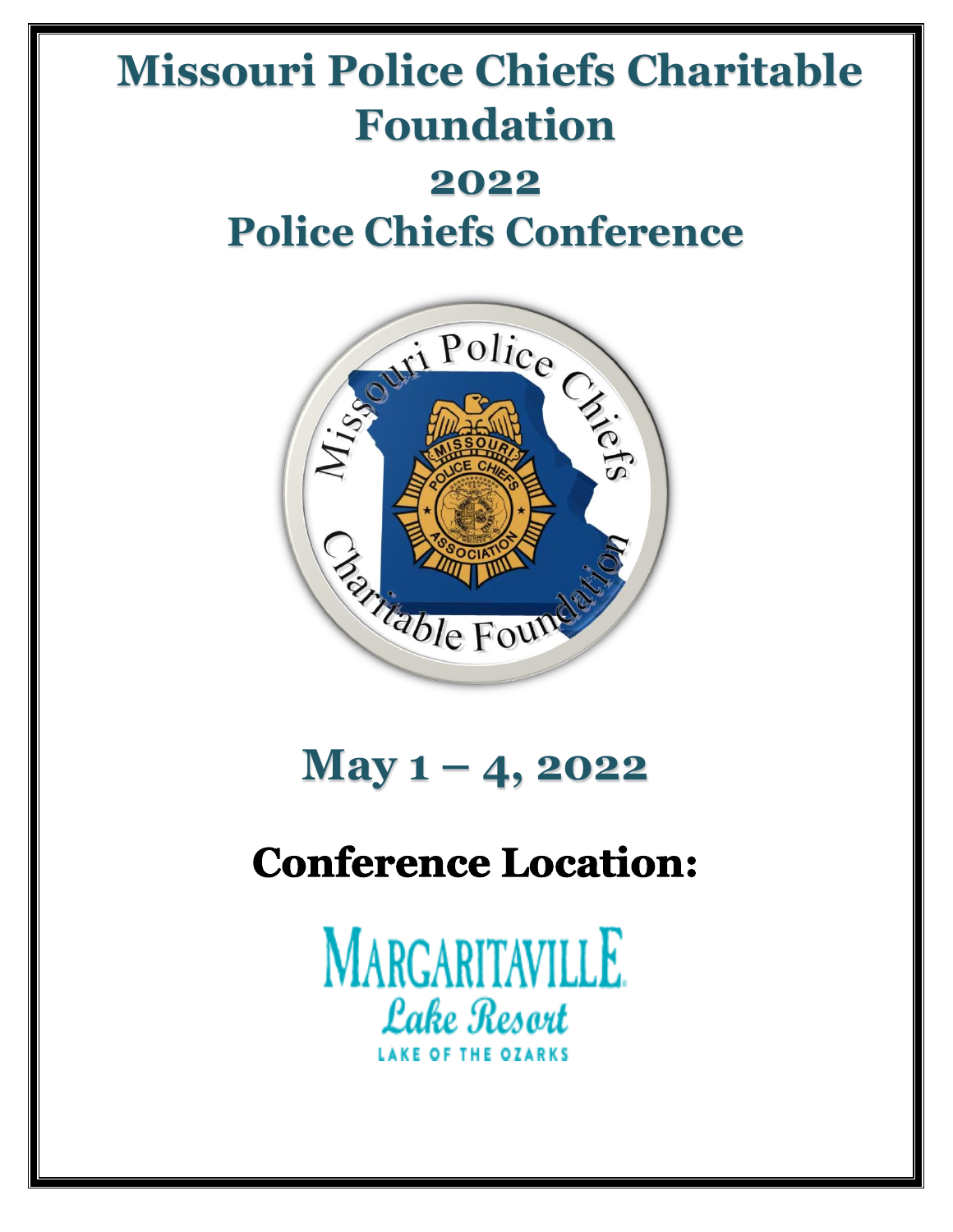# **Missouri Police Chiefs Charitable Foundation 2022 Police Chiefs Conference**



# **May 1 – 4, 2022**

## **Conference Location:**

**MARGARITAVILLE Lake Resort**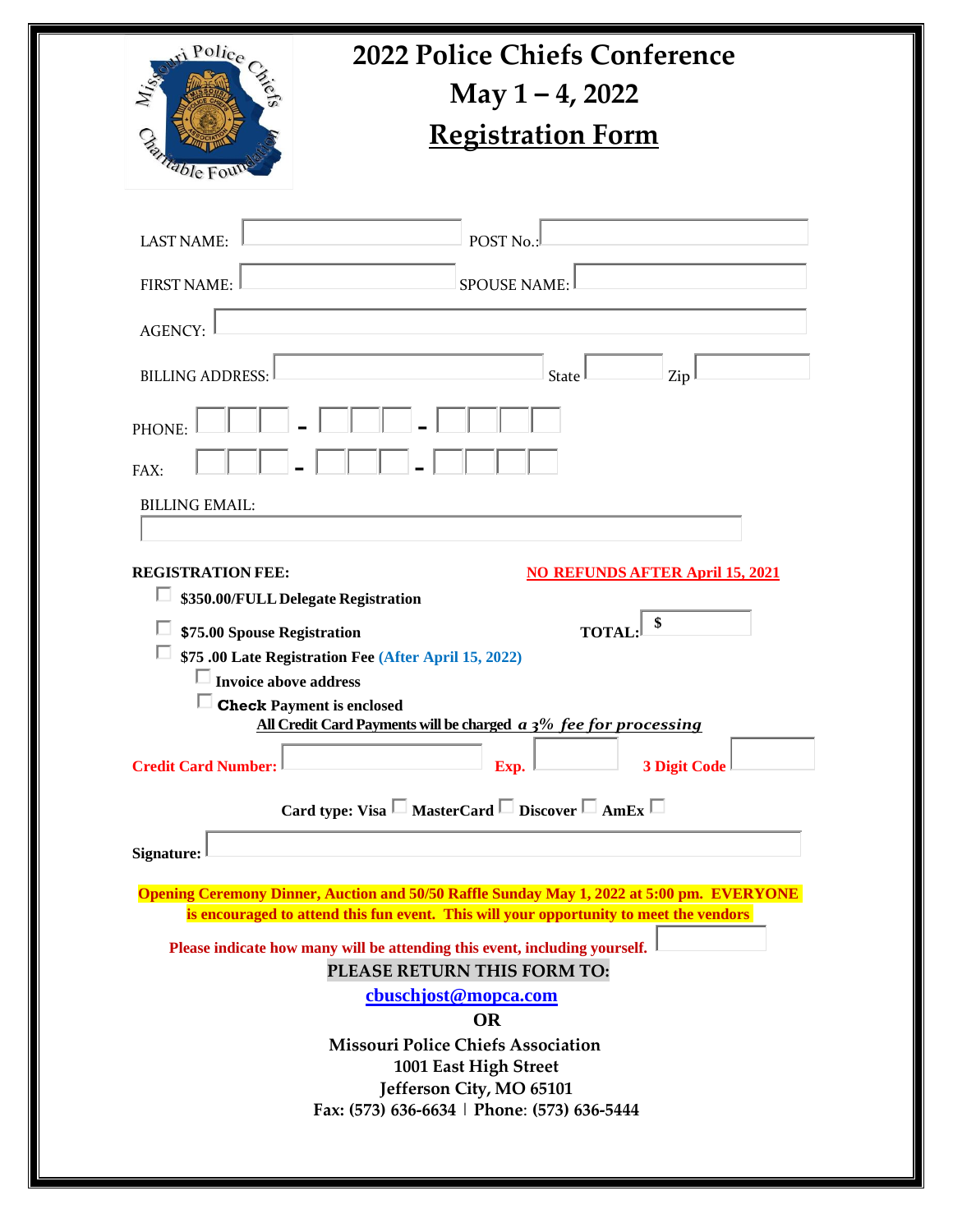| May $1 - 4$ , 2022<br><b>Registration Form</b><br><sup>table</sup> For<br><b>LAST NAME:</b><br>POST <sub>No.</sub><br><b>FIRST NAME:</b><br><b>SPOUSE NAME:</b><br><b>AGENCY:</b><br><b>BILLING ADDRESS:</b><br>Zip<br><b>State</b><br><b>PHONE:</b><br>FAX:<br><b>BILLING EMAIL:</b><br><b>REGISTRATION FEE:</b><br><b>NO REFUNDS AFTER April 15, 2021</b><br>\$350.00/FULL Delegate Registration<br>\$75.00 Spouse Registration<br><b>TOTA</b><br><b>575 .00 Late Registration Fee (After April 15, 2022)</b><br><b>Invoice above address</b><br><b>Check Payment is enclosed</b><br>All Credit Card Payments will be charged a 3% fee for processing<br><b>Credit Card Number:</b><br><b>3 Digit Code</b><br>Exp.<br>Card type: Visa $\square$ MasterCard $\square$ Discover $\square$ AmEx $\square$<br><b>Signature:</b> | ri Police | <b>2022 Police Chiefs Conference</b> |  |
|-------------------------------------------------------------------------------------------------------------------------------------------------------------------------------------------------------------------------------------------------------------------------------------------------------------------------------------------------------------------------------------------------------------------------------------------------------------------------------------------------------------------------------------------------------------------------------------------------------------------------------------------------------------------------------------------------------------------------------------------------------------------------------------------------------------------------------|-----------|--------------------------------------|--|
|                                                                                                                                                                                                                                                                                                                                                                                                                                                                                                                                                                                                                                                                                                                                                                                                                               |           |                                      |  |
|                                                                                                                                                                                                                                                                                                                                                                                                                                                                                                                                                                                                                                                                                                                                                                                                                               |           |                                      |  |
|                                                                                                                                                                                                                                                                                                                                                                                                                                                                                                                                                                                                                                                                                                                                                                                                                               |           |                                      |  |
|                                                                                                                                                                                                                                                                                                                                                                                                                                                                                                                                                                                                                                                                                                                                                                                                                               |           |                                      |  |
|                                                                                                                                                                                                                                                                                                                                                                                                                                                                                                                                                                                                                                                                                                                                                                                                                               |           |                                      |  |
|                                                                                                                                                                                                                                                                                                                                                                                                                                                                                                                                                                                                                                                                                                                                                                                                                               |           |                                      |  |
|                                                                                                                                                                                                                                                                                                                                                                                                                                                                                                                                                                                                                                                                                                                                                                                                                               |           |                                      |  |
|                                                                                                                                                                                                                                                                                                                                                                                                                                                                                                                                                                                                                                                                                                                                                                                                                               |           |                                      |  |
|                                                                                                                                                                                                                                                                                                                                                                                                                                                                                                                                                                                                                                                                                                                                                                                                                               |           |                                      |  |
|                                                                                                                                                                                                                                                                                                                                                                                                                                                                                                                                                                                                                                                                                                                                                                                                                               |           |                                      |  |
|                                                                                                                                                                                                                                                                                                                                                                                                                                                                                                                                                                                                                                                                                                                                                                                                                               |           |                                      |  |
|                                                                                                                                                                                                                                                                                                                                                                                                                                                                                                                                                                                                                                                                                                                                                                                                                               |           |                                      |  |
|                                                                                                                                                                                                                                                                                                                                                                                                                                                                                                                                                                                                                                                                                                                                                                                                                               |           |                                      |  |
| <b>Opening Ceremony Dinner, Auction and 50/50 Raffle Sunday May 1, 2022 at 5:00 pm. EVERYONE</b><br>is encouraged to attend this fun event. This will your opportunity to meet the vendors                                                                                                                                                                                                                                                                                                                                                                                                                                                                                                                                                                                                                                    |           |                                      |  |
| Please indicate how many will be attending this event, including yourself.                                                                                                                                                                                                                                                                                                                                                                                                                                                                                                                                                                                                                                                                                                                                                    |           |                                      |  |
| PLEASE RETURN THIS FORM TO:                                                                                                                                                                                                                                                                                                                                                                                                                                                                                                                                                                                                                                                                                                                                                                                                   |           |                                      |  |
| cbuschjost@mopca.com                                                                                                                                                                                                                                                                                                                                                                                                                                                                                                                                                                                                                                                                                                                                                                                                          |           |                                      |  |
| <b>Missouri Police Chiefs Association</b>                                                                                                                                                                                                                                                                                                                                                                                                                                                                                                                                                                                                                                                                                                                                                                                     |           |                                      |  |
| 1001 East High Street<br>Jefferson City, MO 65101                                                                                                                                                                                                                                                                                                                                                                                                                                                                                                                                                                                                                                                                                                                                                                             |           | <b>OR</b>                            |  |
| Fax: (573) 636-6634   Phone: (573) 636-5444                                                                                                                                                                                                                                                                                                                                                                                                                                                                                                                                                                                                                                                                                                                                                                                   |           |                                      |  |